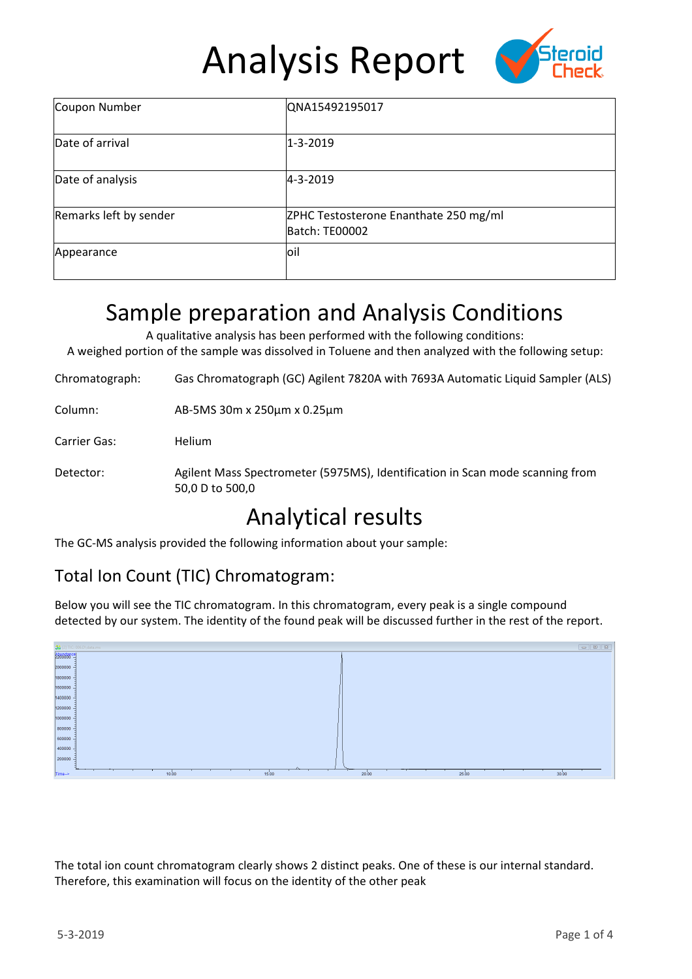# Analysis Report



| Coupon Number          | QNA15492195017                                          |  |  |  |
|------------------------|---------------------------------------------------------|--|--|--|
| Date of arrival        | $1 - 3 - 2019$                                          |  |  |  |
| Date of analysis       | 4-3-2019                                                |  |  |  |
| Remarks left by sender | ZPHC Testosterone Enanthate 250 mg/ml<br>Batch: TE00002 |  |  |  |
| Appearance             | loil                                                    |  |  |  |

## Sample preparation and Analysis Conditions

A qualitative analysis has been performed with the following conditions: A weighed portion of the sample was dissolved in Toluene and then analyzed with the following setup:

Chromatograph: Gas Chromatograph (GC) Agilent 7820A with 7693A Automatic Liquid Sampler (ALS)

| Column: | AB-5MS 30m x 250μm x 0.25μm |
|---------|-----------------------------|
|---------|-----------------------------|

Carrier Gas: Helium

Detector: Agilent Mass Spectrometer (5975MS), Identification in Scan mode scanning from 50,0 D to 500,0

### Analytical results

The GC-MS analysis provided the following information about your sample:

### Total Ion Count (TIC) Chromatogram:

Below you will see the TIC chromatogram. In this chromatogram, every peak is a single compound detected by our system. The identity of the found peak will be discussed further in the rest of the report.



The total ion count chromatogram clearly shows 2 distinct peaks. One of these is our internal standard. Therefore, this examination will focus on the identity of the other peak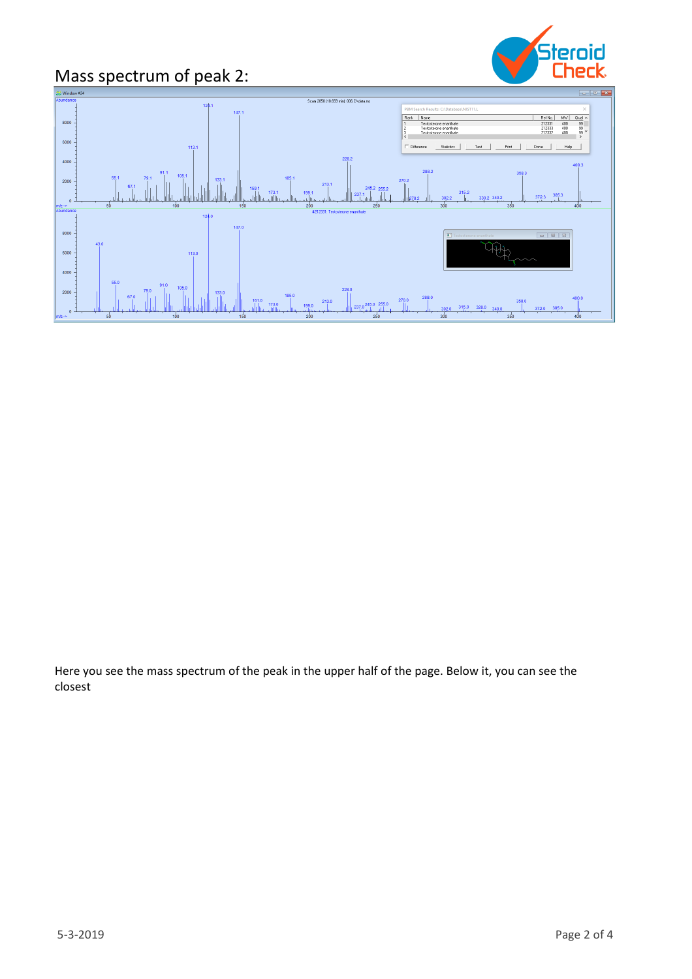# Mass spectrum of peak 2:





Here you see the mass spectrum of the peak in the upper half of the page. Below it, you can see the closest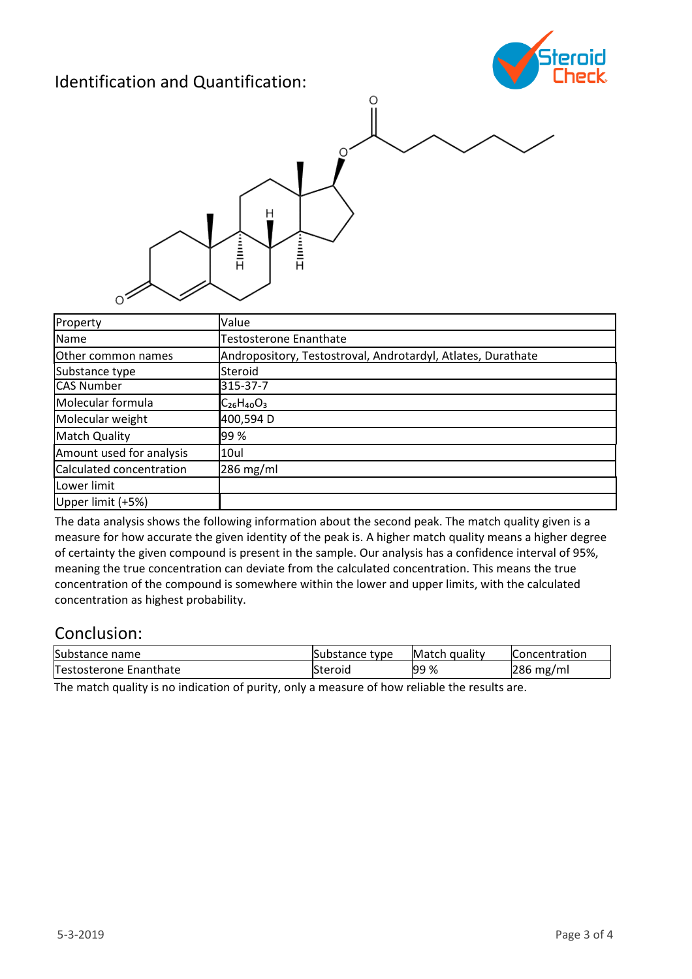### Identification and Quantification:





| Property                 | Value                                                        |  |  |
|--------------------------|--------------------------------------------------------------|--|--|
| Name                     | <b>Testosterone Enanthate</b>                                |  |  |
| Other common names       | Andropository, Testostroval, Androtardyl, Atlates, Durathate |  |  |
| Substance type           | Steroid                                                      |  |  |
| <b>CAS Number</b>        | 315-37-7                                                     |  |  |
| Molecular formula        | $C_{26}H_{40}O_3$                                            |  |  |
| Molecular weight         | 400,594 D                                                    |  |  |
| <b>Match Quality</b>     | 99%                                                          |  |  |
| Amount used for analysis | 10ul                                                         |  |  |
| Calculated concentration | $286$ mg/ml                                                  |  |  |
| Lower limit              |                                                              |  |  |
| Upper limit (+5%)        |                                                              |  |  |

The data analysis shows the following information about the second peak. The match quality given is a measure for how accurate the given identity of the peak is. A higher match quality means a higher degree of certainty the given compound is present in the sample. Our analysis has a confidence interval of 95%, meaning the true concentration can deviate from the calculated concentration. This means the true concentration of the compound is somewhere within the lower and upper limits, with the calculated concentration as highest probability.

#### Conclusion:

| Substance name         | Substance type | Match quality | <b>Concentration</b> |
|------------------------|----------------|---------------|----------------------|
| Testosterone Enanthate | Steroid        | <b>99%</b>    | $286$ mg/ml          |

The match quality is no indication of purity, only a measure of how reliable the results are.